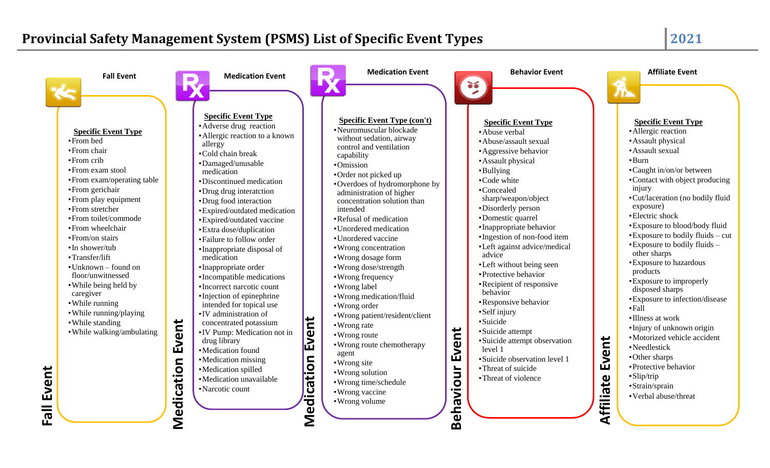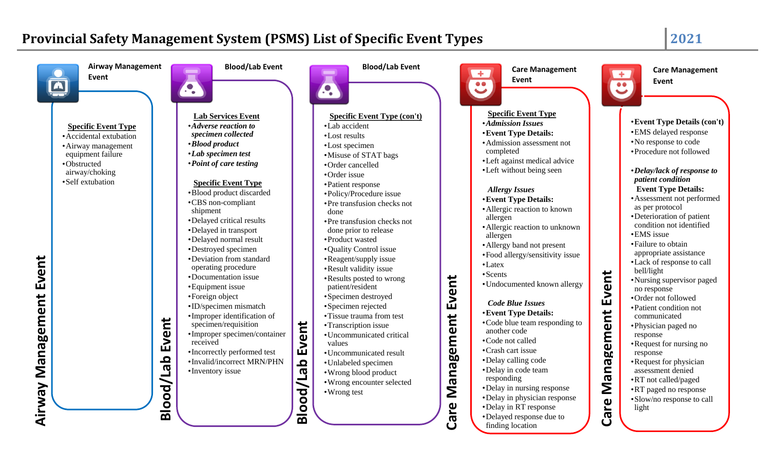

Airway Management Event **Airway Management Event**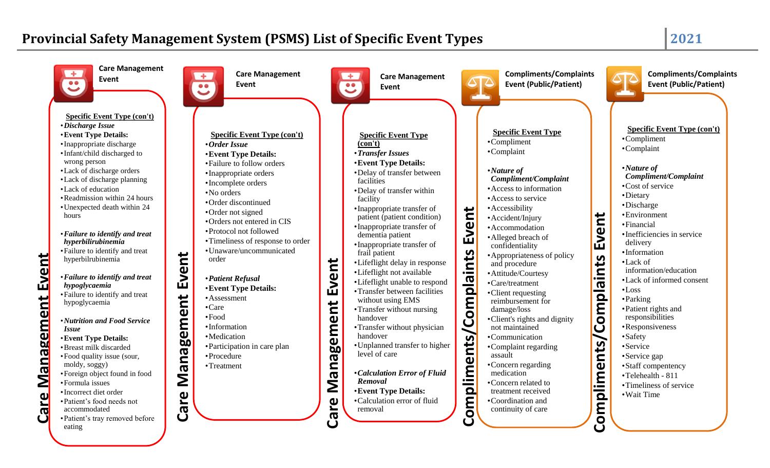

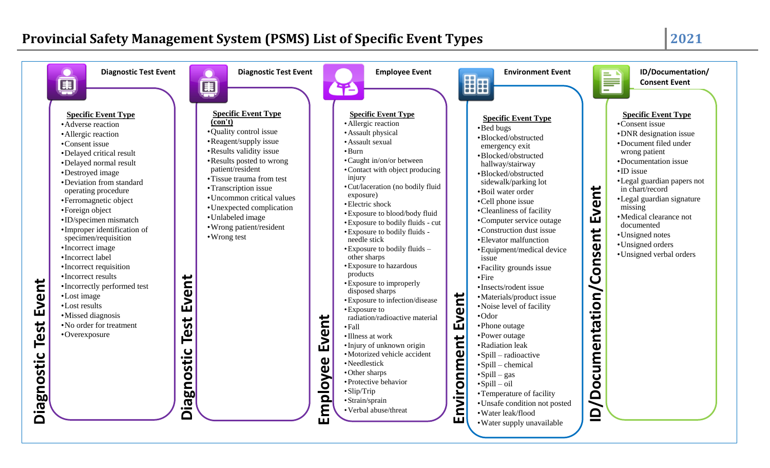

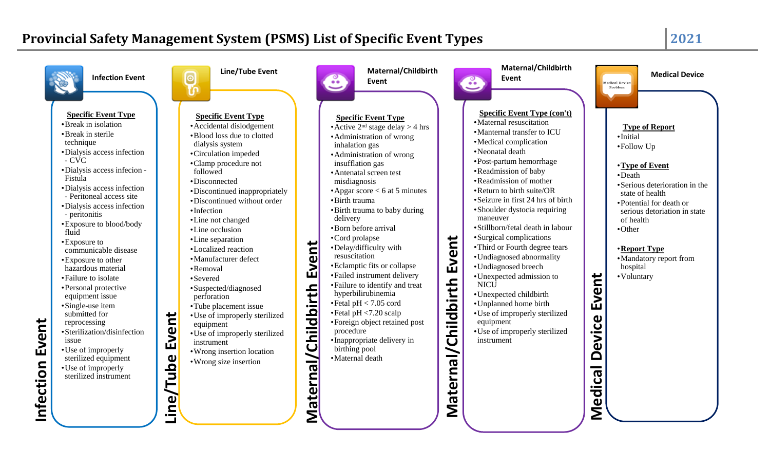**Line/Tube Event** 



| Maternal/Childbirth<br><b>Event</b>                                                                                                                                                                                                                                                                                                                                                                                                                                                                                                                                                                                                                                                                                                              |                                  | Maternal/Childbirth<br><b>Event</b>                                                                                                                                                                                                                                                                                                                                                                                                                                                                                                                                                                                                                                                       |
|--------------------------------------------------------------------------------------------------------------------------------------------------------------------------------------------------------------------------------------------------------------------------------------------------------------------------------------------------------------------------------------------------------------------------------------------------------------------------------------------------------------------------------------------------------------------------------------------------------------------------------------------------------------------------------------------------------------------------------------------------|----------------------------------|-------------------------------------------------------------------------------------------------------------------------------------------------------------------------------------------------------------------------------------------------------------------------------------------------------------------------------------------------------------------------------------------------------------------------------------------------------------------------------------------------------------------------------------------------------------------------------------------------------------------------------------------------------------------------------------------|
| <b>Specific Event Type</b><br>• Active $2^{nd}$ stage delay > 4 hrs<br>• Administration of wrong<br>inhalation gas<br>• Administration of wrong<br>insufflation gas<br>• Antenatal screen test<br>misdiagnosis<br>Apgar score $< 6$ at 5 minutes<br>· Birth trauma<br>• Birth trauma to baby during<br>delivery<br>· Born before arrival<br>•Cord prolapse<br><b>Maternal/Childbirth Event</b><br>•Delay/difficulty with<br>resuscitation<br>• Eclamptic fits or collapse<br>· Failed instrument delivery<br>• Failure to identify and treat<br>hyperbilirubinemia<br>$\bullet$ Fetal pH < 7.05 cord<br>• Fetal pH <7.20 scalp<br>• Foreign object retained post<br>procedure<br>· Inappropriate delivery in<br>birthing pool<br>·Maternal death | <b>Maternal/Childbirth Event</b> | <b>Specific Event Type (con't)</b><br>• Maternal resuscitation<br>•Manternal transfer to ICU<br>•Medical complication<br>•Neonatal death<br>•Post-partum hemorrhage<br>•Readmission of baby<br>•Readmission of mother<br>• Return to birth suite/OR<br>• Seizure in first 24 hrs of birth<br>•Shoulder dystocia requiring<br>maneuver<br>• Stillborn/fetal death in labour<br>·Surgical complications<br>• Third or Fourth degree tears<br>• Undiagnosed abnormality<br>•Undiagnosed breech<br>•Unexpected admission to<br><b>NICU</b><br>•Unexpected childbirth<br>• Unplanned home birth<br>• Use of improperly sterilized<br>equipment<br>• Use of improperly sterilized<br>instrument |

# rth **Example 3 Medical Device Event**Problem • **Type of Report** •Initial •Follow Up •**Type of Event** •Death •Serious deterioration in the state of health •Potential for death or serious detoriation in state of health •Other •**Report Type** •Mandatory report from hospital **Medical Device Event**  Event •Voluntary **Medical Device**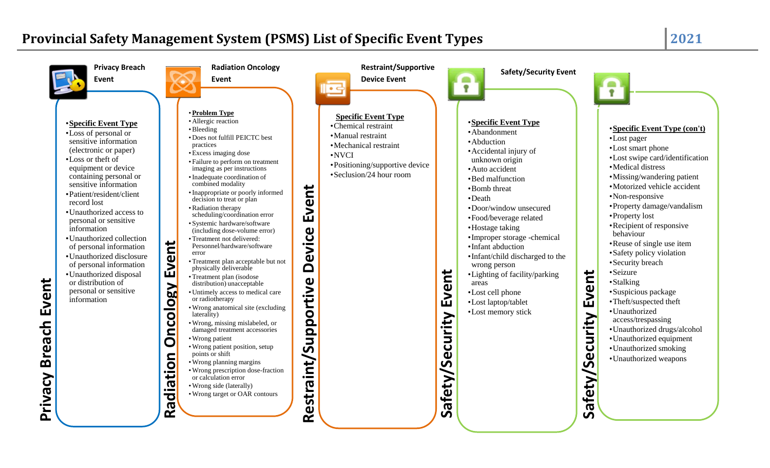